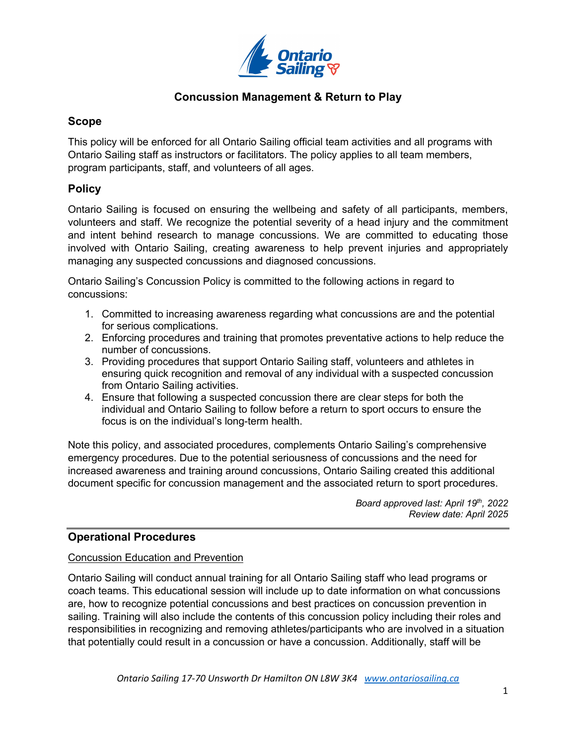

## **Scope**

This policy will be enforced for all Ontario Sailing official team activities and all programs with Ontario Sailing staff as instructors or facilitators. The policy applies to all team members, program participants, staff, and volunteers of all ages.

# **Policy**

Ontario Sailing is focused on ensuring the wellbeing and safety of all participants, members, volunteers and staff. We recognize the potential severity of a head injury and the commitment and intent behind research to manage concussions. We are committed to educating those involved with Ontario Sailing, creating awareness to help prevent injuries and appropriately managing any suspected concussions and diagnosed concussions.

Ontario Sailing's Concussion Policy is committed to the following actions in regard to concussions:

- 1. Committed to increasing awareness regarding what concussions are and the potential for serious complications.
- 2. Enforcing procedures and training that promotes preventative actions to help reduce the number of concussions.
- 3. Providing procedures that support Ontario Sailing staff, volunteers and athletes in ensuring quick recognition and removal of any individual with a suspected concussion from Ontario Sailing activities.
- 4. Ensure that following a suspected concussion there are clear steps for both the individual and Ontario Sailing to follow before a return to sport occurs to ensure the focus is on the individual's long-term health.

Note this policy, and associated procedures, complements Ontario Sailing's comprehensive emergency procedures. Due to the potential seriousness of concussions and the need for increased awareness and training around concussions, Ontario Sailing created this additional document specific for concussion management and the associated return to sport procedures.

> *Board approved last: April 19th, 2022 Review date: April 2025*

# **Operational Procedures**

## Concussion Education and Prevention

Ontario Sailing will conduct annual training for all Ontario Sailing staff who lead programs or coach teams. This educational session will include up to date information on what concussions are, how to recognize potential concussions and best practices on concussion prevention in sailing. Training will also include the contents of this concussion policy including their roles and responsibilities in recognizing and removing athletes/participants who are involved in a situation that potentially could result in a concussion or have a concussion. Additionally, staff will be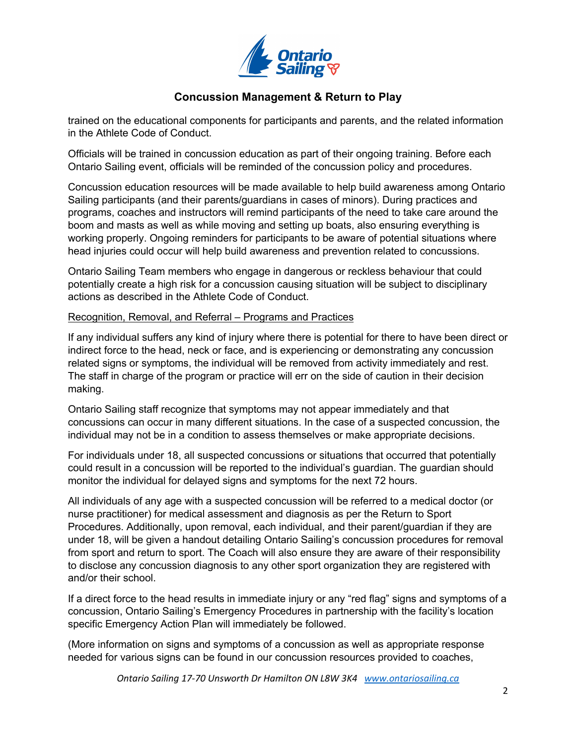

trained on the educational components for participants and parents, and the related information in the Athlete Code of Conduct.

Officials will be trained in concussion education as part of their ongoing training. Before each Ontario Sailing event, officials will be reminded of the concussion policy and procedures.

Concussion education resources will be made available to help build awareness among Ontario Sailing participants (and their parents/guardians in cases of minors). During practices and programs, coaches and instructors will remind participants of the need to take care around the boom and masts as well as while moving and setting up boats, also ensuring everything is working properly. Ongoing reminders for participants to be aware of potential situations where head injuries could occur will help build awareness and prevention related to concussions.

Ontario Sailing Team members who engage in dangerous or reckless behaviour that could potentially create a high risk for a concussion causing situation will be subject to disciplinary actions as described in the Athlete Code of Conduct.

### Recognition, Removal, and Referral – Programs and Practices

If any individual suffers any kind of injury where there is potential for there to have been direct or indirect force to the head, neck or face, and is experiencing or demonstrating any concussion related signs or symptoms, the individual will be removed from activity immediately and rest. The staff in charge of the program or practice will err on the side of caution in their decision making.

Ontario Sailing staff recognize that symptoms may not appear immediately and that concussions can occur in many different situations. In the case of a suspected concussion, the individual may not be in a condition to assess themselves or make appropriate decisions.

For individuals under 18, all suspected concussions or situations that occurred that potentially could result in a concussion will be reported to the individual's guardian. The guardian should monitor the individual for delayed signs and symptoms for the next 72 hours.

All individuals of any age with a suspected concussion will be referred to a medical doctor (or nurse practitioner) for medical assessment and diagnosis as per the Return to Sport Procedures. Additionally, upon removal, each individual, and their parent/guardian if they are under 18, will be given a handout detailing Ontario Sailing's concussion procedures for removal from sport and return to sport. The Coach will also ensure they are aware of their responsibility to disclose any concussion diagnosis to any other sport organization they are registered with and/or their school.

If a direct force to the head results in immediate injury or any "red flag" signs and symptoms of a concussion, Ontario Sailing's Emergency Procedures in partnership with the facility's location specific Emergency Action Plan will immediately be followed.

(More information on signs and symptoms of a concussion as well as appropriate response needed for various signs can be found in our concussion resources provided to coaches,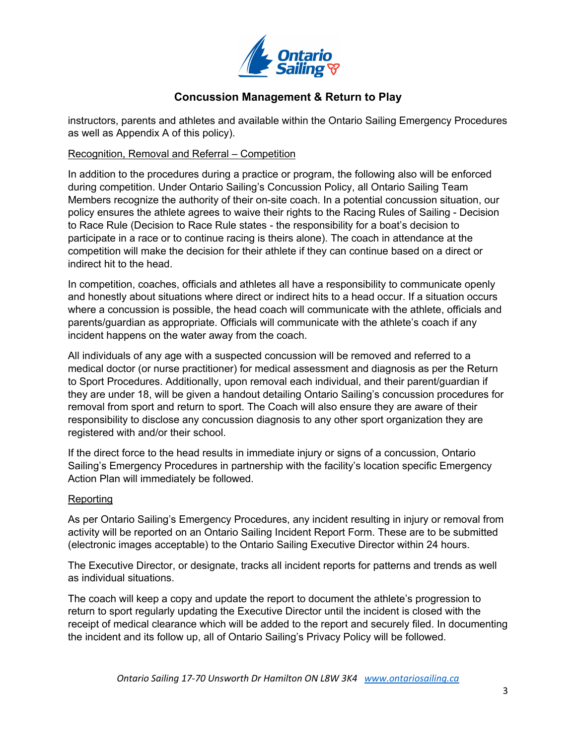

instructors, parents and athletes and available within the Ontario Sailing Emergency Procedures as well as Appendix A of this policy).

Recognition, Removal and Referral – Competition

In addition to the procedures during a practice or program, the following also will be enforced during competition. Under Ontario Sailing's Concussion Policy, all Ontario Sailing Team Members recognize the authority of their on-site coach. In a potential concussion situation, our policy ensures the athlete agrees to waive their rights to the Racing Rules of Sailing - Decision to Race Rule (Decision to Race Rule states - the responsibility for a boat's decision to participate in a race or to continue racing is theirs alone). The coach in attendance at the competition will make the decision for their athlete if they can continue based on a direct or indirect hit to the head.

In competition, coaches, officials and athletes all have a responsibility to communicate openly and honestly about situations where direct or indirect hits to a head occur. If a situation occurs where a concussion is possible, the head coach will communicate with the athlete, officials and parents/guardian as appropriate. Officials will communicate with the athlete's coach if any incident happens on the water away from the coach.

All individuals of any age with a suspected concussion will be removed and referred to a medical doctor (or nurse practitioner) for medical assessment and diagnosis as per the Return to Sport Procedures. Additionally, upon removal each individual, and their parent/guardian if they are under 18, will be given a handout detailing Ontario Sailing's concussion procedures for removal from sport and return to sport. The Coach will also ensure they are aware of their responsibility to disclose any concussion diagnosis to any other sport organization they are registered with and/or their school.

If the direct force to the head results in immediate injury or signs of a concussion, Ontario Sailing's Emergency Procedures in partnership with the facility's location specific Emergency Action Plan will immediately be followed.

### Reporting

As per Ontario Sailing's Emergency Procedures, any incident resulting in injury or removal from activity will be reported on an Ontario Sailing Incident Report Form. These are to be submitted (electronic images acceptable) to the Ontario Sailing Executive Director within 24 hours.

The Executive Director, or designate, tracks all incident reports for patterns and trends as well as individual situations.

The coach will keep a copy and update the report to document the athlete's progression to return to sport regularly updating the Executive Director until the incident is closed with the receipt of medical clearance which will be added to the report and securely filed. In documenting the incident and its follow up, all of Ontario Sailing's Privacy Policy will be followed.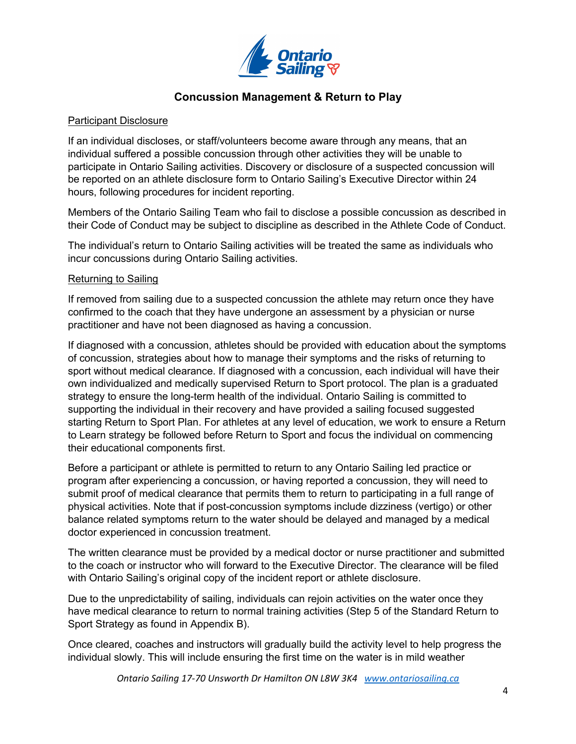

### Participant Disclosure

If an individual discloses, or staff/volunteers become aware through any means, that an individual suffered a possible concussion through other activities they will be unable to participate in Ontario Sailing activities. Discovery or disclosure of a suspected concussion will be reported on an athlete disclosure form to Ontario Sailing's Executive Director within 24 hours, following procedures for incident reporting.

Members of the Ontario Sailing Team who fail to disclose a possible concussion as described in their Code of Conduct may be subject to discipline as described in the Athlete Code of Conduct.

The individual's return to Ontario Sailing activities will be treated the same as individuals who incur concussions during Ontario Sailing activities.

### Returning to Sailing

If removed from sailing due to a suspected concussion the athlete may return once they have confirmed to the coach that they have undergone an assessment by a physician or nurse practitioner and have not been diagnosed as having a concussion.

If diagnosed with a concussion, athletes should be provided with education about the symptoms of concussion, strategies about how to manage their symptoms and the risks of returning to sport without medical clearance. If diagnosed with a concussion, each individual will have their own individualized and medically supervised Return to Sport protocol. The plan is a graduated strategy to ensure the long-term health of the individual. Ontario Sailing is committed to supporting the individual in their recovery and have provided a sailing focused suggested starting Return to Sport Plan. For athletes at any level of education, we work to ensure a Return to Learn strategy be followed before Return to Sport and focus the individual on commencing their educational components first.

Before a participant or athlete is permitted to return to any Ontario Sailing led practice or program after experiencing a concussion, or having reported a concussion, they will need to submit proof of medical clearance that permits them to return to participating in a full range of physical activities. Note that if post-concussion symptoms include dizziness (vertigo) or other balance related symptoms return to the water should be delayed and managed by a medical doctor experienced in concussion treatment.

The written clearance must be provided by a medical doctor or nurse practitioner and submitted to the coach or instructor who will forward to the Executive Director. The clearance will be filed with Ontario Sailing's original copy of the incident report or athlete disclosure.

Due to the unpredictability of sailing, individuals can rejoin activities on the water once they have medical clearance to return to normal training activities (Step 5 of the Standard Return to Sport Strategy as found in Appendix B).

Once cleared, coaches and instructors will gradually build the activity level to help progress the individual slowly. This will include ensuring the first time on the water is in mild weather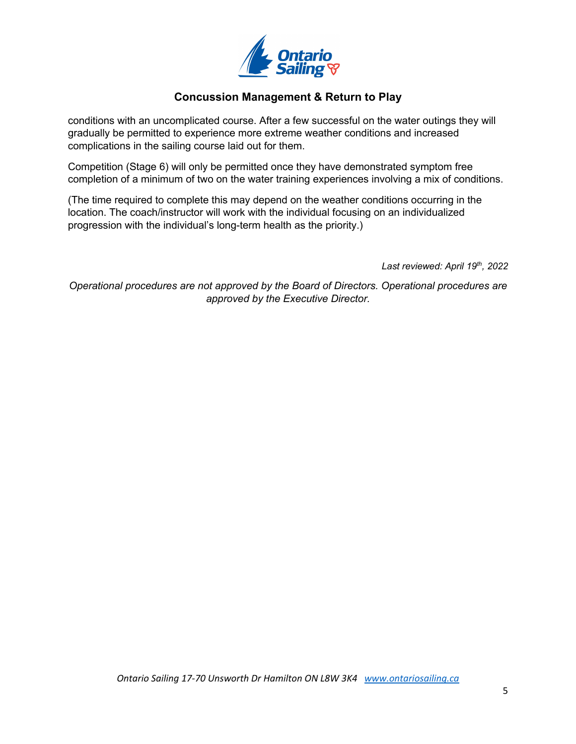

conditions with an uncomplicated course. After a few successful on the water outings they will gradually be permitted to experience more extreme weather conditions and increased complications in the sailing course laid out for them.

Competition (Stage 6) will only be permitted once they have demonstrated symptom free completion of a minimum of two on the water training experiences involving a mix of conditions.

(The time required to complete this may depend on the weather conditions occurring in the location. The coach/instructor will work with the individual focusing on an individualized progression with the individual's long-term health as the priority.)

*Last reviewed: April 19th, 2022*

*Operational procedures are not approved by the Board of Directors. Operational procedures are approved by the Executive Director.*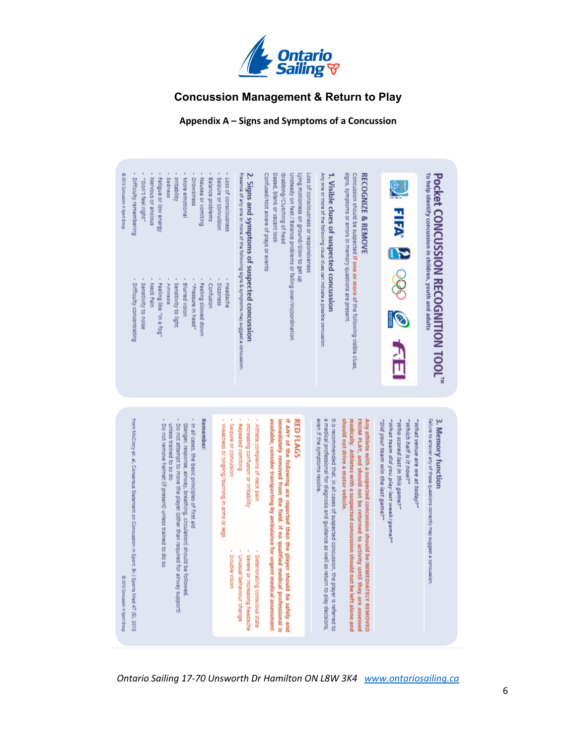

**Appendix A – Signs and Symptoms of a Concussion**



6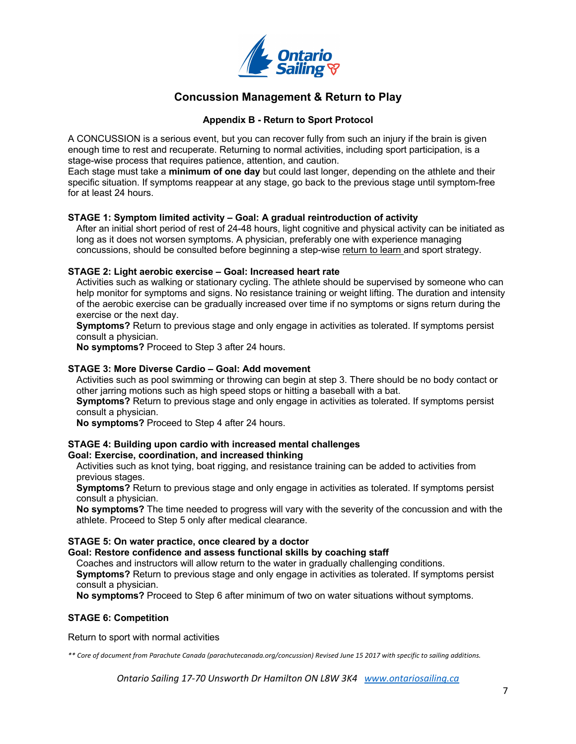

### **Appendix B - Return to Sport Protocol**

A CONCUSSION is a serious event, but you can recover fully from such an injury if the brain is given enough time to rest and recuperate. Returning to normal activities, including sport participation, is a stage-wise process that requires patience, attention, and caution.

Each stage must take a **minimum of one day** but could last longer, depending on the athlete and their specific situation. If symptoms reappear at any stage, go back to the previous stage until symptom-free for at least 24 hours.

### **STAGE 1: Symptom limited activity – Goal: A gradual reintroduction of activity**

After an initial short period of rest of 24-48 hours, light cognitive and physical activity can be initiated as long as it does not worsen symptoms. A physician, preferably one with experience managing concussions, should be consulted before beginning a step-wise return to learn and sport strategy.

### **STAGE 2: Light aerobic exercise – Goal: Increased heart rate**

Activities such as walking or stationary cycling. The athlete should be supervised by someone who can help monitor for symptoms and signs. No resistance training or weight lifting. The duration and intensity of the aerobic exercise can be gradually increased over time if no symptoms or signs return during the exercise or the next day.

**Symptoms?** Return to previous stage and only engage in activities as tolerated. If symptoms persist consult a physician.

**No symptoms?** Proceed to Step 3 after 24 hours.

### **STAGE 3: More Diverse Cardio – Goal: Add movement**

Activities such as pool swimming or throwing can begin at step 3. There should be no body contact or other jarring motions such as high speed stops or hitting a baseball with a bat.

**Symptoms?** Return to previous stage and only engage in activities as tolerated. If symptoms persist consult a physician.

**No symptoms?** Proceed to Step 4 after 24 hours.

### **STAGE 4: Building upon cardio with increased mental challenges**

### **Goal: Exercise, coordination, and increased thinking**

Activities such as knot tying, boat rigging, and resistance training can be added to activities from previous stages.

**Symptoms?** Return to previous stage and only engage in activities as tolerated. If symptoms persist consult a physician.

**No symptoms?** The time needed to progress will vary with the severity of the concussion and with the athlete. Proceed to Step 5 only after medical clearance.

### **STAGE 5: On water practice, once cleared by a doctor**

### **Goal: Restore confidence and assess functional skills by coaching staff**

Coaches and instructors will allow return to the water in gradually challenging conditions.

**Symptoms?** Return to previous stage and only engage in activities as tolerated. If symptoms persist consult a physician.

**No symptoms?** Proceed to Step 6 after minimum of two on water situations without symptoms.

### **STAGE 6: Competition**

Return to sport with normal activities

*\*\* Core of document from Parachute Canada (parachutecanada.org/concussion) Revised June 15 2017 with specific to sailing additions.*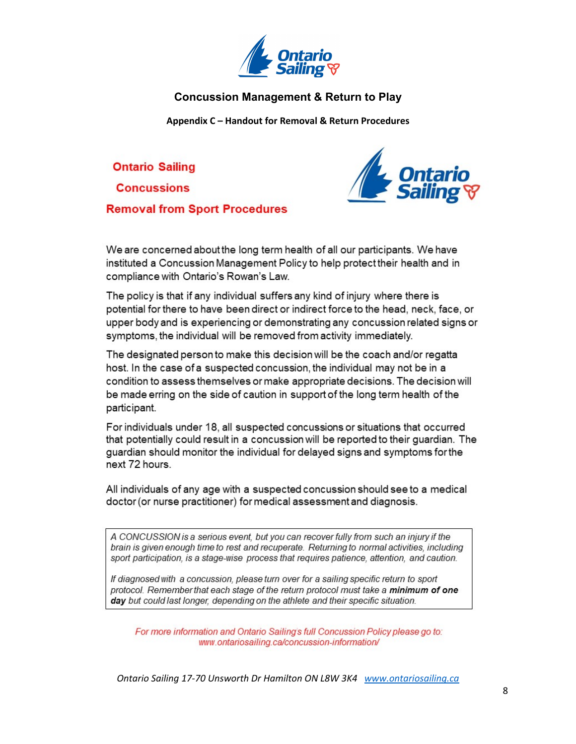

**Appendix C – Handout for Removal & Return Procedures**

**Ontario Sailing** 

**Concussions** 

**Removal from Sport Procedures** 



We are concerned about the long term health of all our participants. We have instituted a Concussion Management Policy to help protect their health and in compliance with Ontario's Rowan's Law.

The policy is that if any individual suffers any kind of injury where there is potential for there to have been direct or indirect force to the head, neck, face, or upper body and is experiencing or demonstrating any concussion related signs or symptoms, the individual will be removed from activity immediately.

The designated person to make this decision will be the coach and/or regatta host. In the case of a suspected concussion, the individual may not be in a condition to assess themselves or make appropriate decisions. The decision will be made erring on the side of caution in support of the long term health of the participant.

For individuals under 18, all suspected concussions or situations that occurred that potentially could result in a concussion will be reported to their guardian. The guardian should monitor the individual for delayed signs and symptoms for the next 72 hours.

All individuals of any age with a suspected concussion should see to a medical doctor (or nurse practitioner) for medical assessment and diagnosis.

A CONCUSSION is a serious event, but you can recover fully from such an injury if the brain is given enough time to rest and recuperate. Returning to normal activities, including sport participation, is a stage-wise process that requires patience, attention, and caution.

If diagnosed with a concussion, please turn over for a sailing specific return to sport protocol. Remember that each stage of the return protocol must take a minimum of one day but could last longer, depending on the athlete and their specific situation.

For more information and Ontario Sailing's full Concussion Policy please go to: www.ontariosailing.ca/concussion-information/